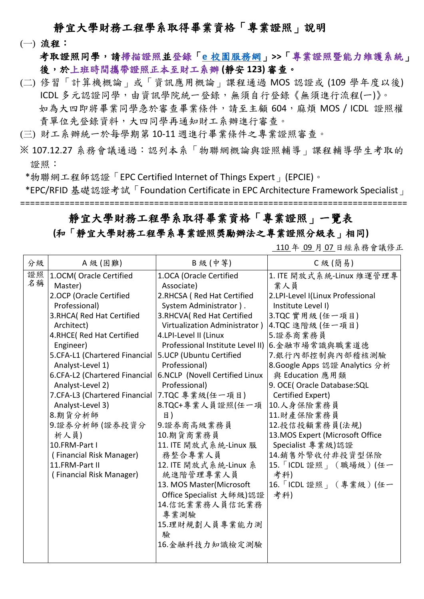## 靜宜大學財務工程學系取得畢業資格「專業證照」說明

(一) 流程:

考取證照同學,請掃描證照並登錄「**e** [校園服務網」](https://alcat.pu.edu.tw/)**>>**「專業證照暨能力維護系統」 後,於上班時間攜帶證照正本至財工系辦 **(**靜安 **123)** 審查。

- (二) 修習「計算機概論」或「資訊應用概論」課程通過 MOS 認證或 (109 學年度以後) ICDL 多元認證同學,由資訊學院統一登錄,無須自行登錄《無須進行流程(一)》。 如為大四即將畢業同學急於審查畢業條件,請至主顧 604,麻煩 MOS / ICDL 證照權 責單位先登錄資料,大四同學再通知財工系辦進行審查。
- (三) 財工系辦統一於每學期第 10-11 週進行畢業條件之專業證照審查。
- ※ 107.12.27 系務會議通過:認列本系「物聯網概論與證照輔導」課程輔導學生考取的 證照:

\*物聯網工程師認證「EPC Certified Internet of Things Expert」(EPCIE)。

\*EPC/RFID 基礎認證考試「Foundation Certificate in EPC Architecture Framework Specialist」

==============================================================================

## 靜宜大學財務工程學系取得畢業資格「專業證照」一覽表

## **(**和「靜宜大學財務工程學系專業證照獎勵辦法之專業證照分級表」相同**)**

110 年 09 月 07 日經系務會議修正

| 分級 | A 级 (困難)                                        | B 级 (中等)                                                       | C級(簡易)                           |
|----|-------------------------------------------------|----------------------------------------------------------------|----------------------------------|
|    | 證照   1.OCM(Oracle Certified                     | 1.OCA (Oracle Certified                                        | 1. ITE 開放式系統-Linux 維運管理專         |
| 名稱 | Master)                                         | Associate)                                                     | 業人員                              |
|    | 2.OCP (Oracle Certified                         | 2.RHCSA (Red Hat Certified                                     | 2.LPI-Level I(Linux Professional |
|    | Professional)                                   | System Administrator).                                         | Institute Level I)               |
|    | 3.RHCA(Red Hat Certified                        | 3.RHCVA(Red Hat Certified                                      | 3.TQC 實用級 (任一項目)                 |
|    | Architect)                                      | Virtualization Administrator)                                  | 4.TQC 進階級 (任一項目)                 |
|    | 4.RHCE(Red Hat Certified                        | 4.LPI-Level II (Linux                                          | 5.證券商業務員                         |
|    | Engineer)                                       | Professional Institute Level II)                               | 6.金融市場常識與職業道德                    |
|    | 5.CFA-L1 (Chartered Financial                   | 5.UCP (Ubuntu Certified                                        | 7.銀行內部控制與內部稽核測驗                  |
|    | Analyst-Level 1)                                | Professional)                                                  | 8.Google Apps 認證 Analytics 分析    |
|    |                                                 | 6.CFA-L2 (Chartered Financial   6.NCLP (Novell Certified Linux | 與 Education 應用類                  |
|    | Analyst-Level 2)                                | Professional)                                                  | 9. OCE(Oracle Database:SQL       |
|    | 7.CFA-L3 (Chartered Financial   7.TQC 專業級(任一項目) |                                                                | Certified Expert)                |
|    | Analyst-Level 3)                                | 8.TQC+專業人員證照(任一項                                               | 10.人身保險業務員                       |
|    | 8.期貨分析師                                         | 目)                                                             | 11.財產保險業務員                       |
|    | 9.證券分析師(證券投資分                                   | 9.證券商高級業務員                                                     | 12.投信投顧業務員(法規)                   |
|    | 析人員)                                            | 10.期貨商業務員                                                      | 13.MOS Expert (Microsoft Office  |
|    | 10.FRM-Part I                                   | 11. ITE 開放式系統-Linux 服                                          | Specialist 專業級)認證                |
|    | (Financial Risk Manager)                        | 務整合專業人員                                                        | 14. 銷售外幣收付非投資型保險                 |
|    | 11.FRM-Part II                                  | 12. ITE 開放式系統-Linux 系                                          | 15. 「ICDL 證照」 (職場級)(任一           |
|    | (Financial Risk Manager)                        | 統進階管理專業人員                                                      | 考科)                              |
|    |                                                 | 13. MOS Master(Microsoft                                       | 16. 「ICDL 證照 」 (專業級)(任一          |
|    |                                                 | Office Specialist 大師級)認證                                       | 考科)                              |
|    |                                                 | 14.信託業業務人員信託業務                                                 |                                  |
|    |                                                 | 專業測驗                                                           |                                  |
|    |                                                 | 15.理財規劃人員專業能力測                                                 |                                  |
|    |                                                 | 驗                                                              |                                  |
|    |                                                 | 16.金融科技力知識檢定測驗                                                 |                                  |
|    |                                                 |                                                                |                                  |